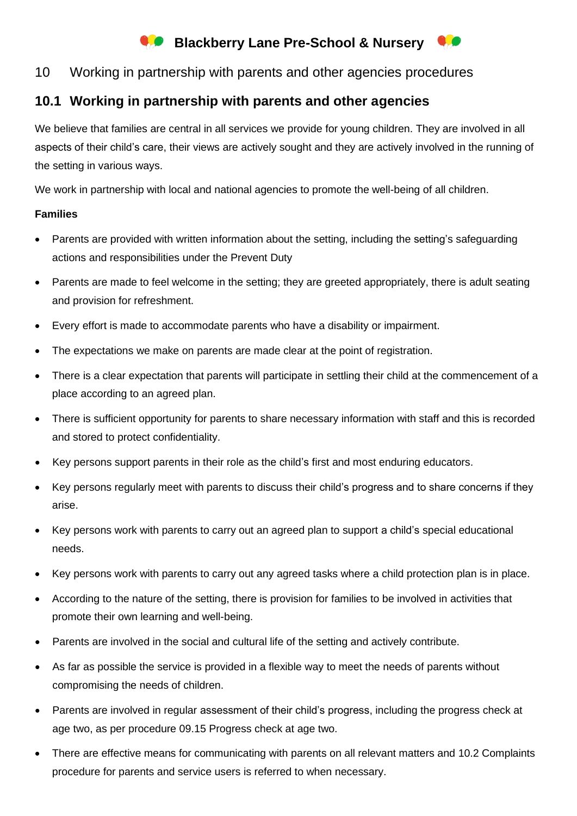# **Blackberry Lane Pre-School & Nursery**

### 10 Working in partnership with parents and other agencies procedures

## **10.1 Working in partnership with parents and other agencies**

We believe that families are central in all services we provide for young children. They are involved in all aspects of their child's care, their views are actively sought and they are actively involved in the running of the setting in various ways.

We work in partnership with local and national agencies to promote the well-being of all children.

#### **Families**

- Parents are provided with written information about the setting, including the setting's safeguarding actions and responsibilities under the Prevent Duty
- Parents are made to feel welcome in the setting; they are greeted appropriately, there is adult seating and provision for refreshment.
- Every effort is made to accommodate parents who have a disability or impairment.
- The expectations we make on parents are made clear at the point of registration.
- There is a clear expectation that parents will participate in settling their child at the commencement of a place according to an agreed plan.
- There is sufficient opportunity for parents to share necessary information with staff and this is recorded and stored to protect confidentiality.
- Key persons support parents in their role as the child's first and most enduring educators.
- Key persons regularly meet with parents to discuss their child's progress and to share concerns if they arise.
- Key persons work with parents to carry out an agreed plan to support a child's special educational needs.
- Key persons work with parents to carry out any agreed tasks where a child protection plan is in place.
- According to the nature of the setting, there is provision for families to be involved in activities that promote their own learning and well-being.
- Parents are involved in the social and cultural life of the setting and actively contribute.
- As far as possible the service is provided in a flexible way to meet the needs of parents without compromising the needs of children.
- Parents are involved in regular assessment of their child's progress, including the progress check at age two, as per procedure 09.15 Progress check at age two.
- There are effective means for communicating with parents on all relevant matters and 10.2 Complaints procedure for parents and service users is referred to when necessary.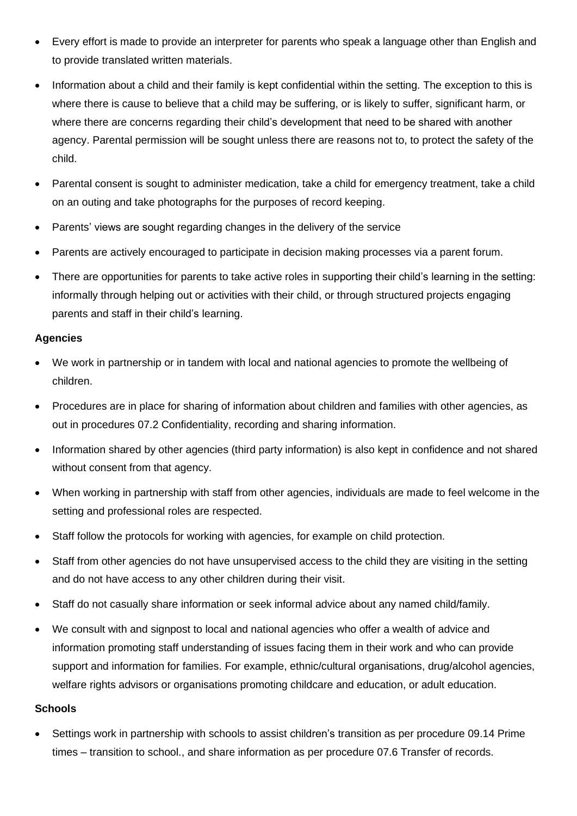- Every effort is made to provide an interpreter for parents who speak a language other than English and to provide translated written materials.
- Information about a child and their family is kept confidential within the setting. The exception to this is where there is cause to believe that a child may be suffering, or is likely to suffer, significant harm, or where there are concerns regarding their child's development that need to be shared with another agency. Parental permission will be sought unless there are reasons not to, to protect the safety of the child.
- Parental consent is sought to administer medication, take a child for emergency treatment, take a child on an outing and take photographs for the purposes of record keeping.
- Parents' views are sought regarding changes in the delivery of the service
- Parents are actively encouraged to participate in decision making processes via a parent forum.
- There are opportunities for parents to take active roles in supporting their child's learning in the setting: informally through helping out or activities with their child, or through structured projects engaging parents and staff in their child's learning.

#### **Agencies**

- We work in partnership or in tandem with local and national agencies to promote the wellbeing of children.
- Procedures are in place for sharing of information about children and families with other agencies, as out in procedures 07.2 Confidentiality, recording and sharing information.
- Information shared by other agencies (third party information) is also kept in confidence and not shared without consent from that agency.
- When working in partnership with staff from other agencies, individuals are made to feel welcome in the setting and professional roles are respected.
- Staff follow the protocols for working with agencies, for example on child protection.
- Staff from other agencies do not have unsupervised access to the child they are visiting in the setting and do not have access to any other children during their visit.
- Staff do not casually share information or seek informal advice about any named child/family.
- We consult with and signpost to local and national agencies who offer a wealth of advice and information promoting staff understanding of issues facing them in their work and who can provide support and information for families. For example, ethnic/cultural organisations, drug/alcohol agencies, welfare rights advisors or organisations promoting childcare and education, or adult education.

#### **Schools**

• Settings work in partnership with schools to assist children's transition as per procedure 09.14 Prime times – transition to school., and share information as per procedure 07.6 Transfer of records.